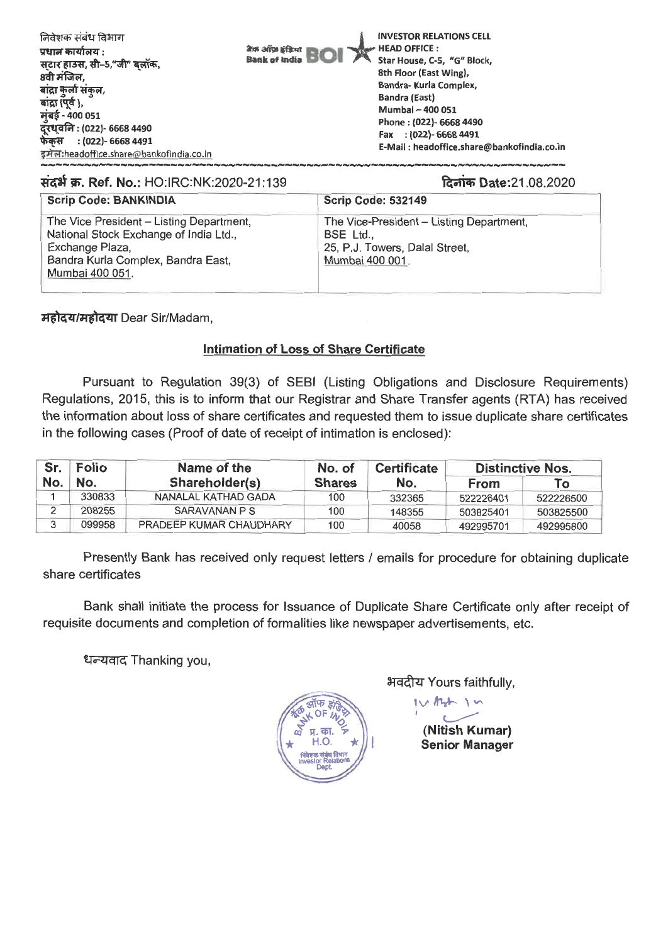| निवेशक संबंध विभाग<br>प्रधान कार्यालय :<br>सटार हाउस, सी–5,"जी" बलॉक,<br>8वी मंजिल,<br>बाद्रा कुला संकल,<br>बांद्रा (पूर्व ),<br>मुंबई - 400 051<br>दूरध्वनि : (022)- 6668 4490<br>$:(022)$ - 6668 4491<br>फेकस<br>इमेल:headoffice.share@bankofindia.co.in | <b>INVESTOR RELATIONS CELL</b><br>HEAD OFFICE :<br>बैंक ऑफ़ इंडिया<br>Star House, C-5, "G" Block,<br><b>Bank of India</b><br>8th Floor (East Wing),<br>Bandra- Kurla Complex,<br><b>Bandra (East)</b><br>Mumbai - 400 051<br>Phone: (022)- 6668 4490<br>Fax : (022)- 6668 4491<br>E-Mail: headoffice.share@bankofindia.co.in |  |
|------------------------------------------------------------------------------------------------------------------------------------------------------------------------------------------------------------------------------------------------------------|------------------------------------------------------------------------------------------------------------------------------------------------------------------------------------------------------------------------------------------------------------------------------------------------------------------------------|--|
|                                                                                                                                                                                                                                                            |                                                                                                                                                                                                                                                                                                                              |  |

#### **Right of Ref. No.: HO:IRC:NK:2020-21:139 locic Date:21.08.2020 locic Date:21.08.2020**

| <b>Scrip Code: BANKINDIA</b>                                                                                                                                   | <b>Scrip Code: 532149</b>                                                                                |
|----------------------------------------------------------------------------------------------------------------------------------------------------------------|----------------------------------------------------------------------------------------------------------|
| The Vice President - Listing Department,<br>National Stock Exchange of India Ltd.,<br>Exchange Plaza,<br>Bandra Kurla Complex, Bandra East,<br>Mumbai 400 051. | The Vice-President - Listing Department,<br>BSE Ltd<br>25, P.J. Towers, Dalal Street,<br>Mumbai 400 001. |

*Hहोदय/महोदया Dear Sir/Madam,* 

### **Intimation of Loss of Share Certificate**

Pursuant to Regulation 39(3) of SEBI (Listing Obligations and Disclosure Requirements) Regulations, 2015, this is to inform that our Registrar and Share Transfer agents (RTA) has received the information about loss of share certificates and requested them to issue duplicate share certificates in the following cases (Proof of date of receipt of intimation is enclosed):

| Sr. | <b>Folio</b> | Name of the             | No. of        | <b>Certificate</b> |             | <b>Distinctive Nos.</b> |
|-----|--------------|-------------------------|---------------|--------------------|-------------|-------------------------|
| No. | No.          | Shareholder(s)          | <b>Shares</b> | No.                | <b>From</b> | To                      |
|     | 330833       | NANALAL KATHAD GADA     | 100           | 332365             | 522226401   | 522226500               |
|     | 208255       | SARAVANAN P S           | 100           | 148355             | 503825401   | 503825500               |
|     | 099958       | PRADEEP KUMAR CHAUDHARY | 100           | 40058              | 492995701   | 492995800               |

Presently Bank has received only request letters / emails for procedure for obtaining duplicate share certificates

Bank shall initiate the process for Issuance of Duplicate Share Certificate only after receipt of requisite documents and completion of formalities like newspaper advertisements, etc.

धन्यवाद Thanking you,



31-4Rr Yours faithfully,

**(Nitish Kumar)** 

**Senior Manager**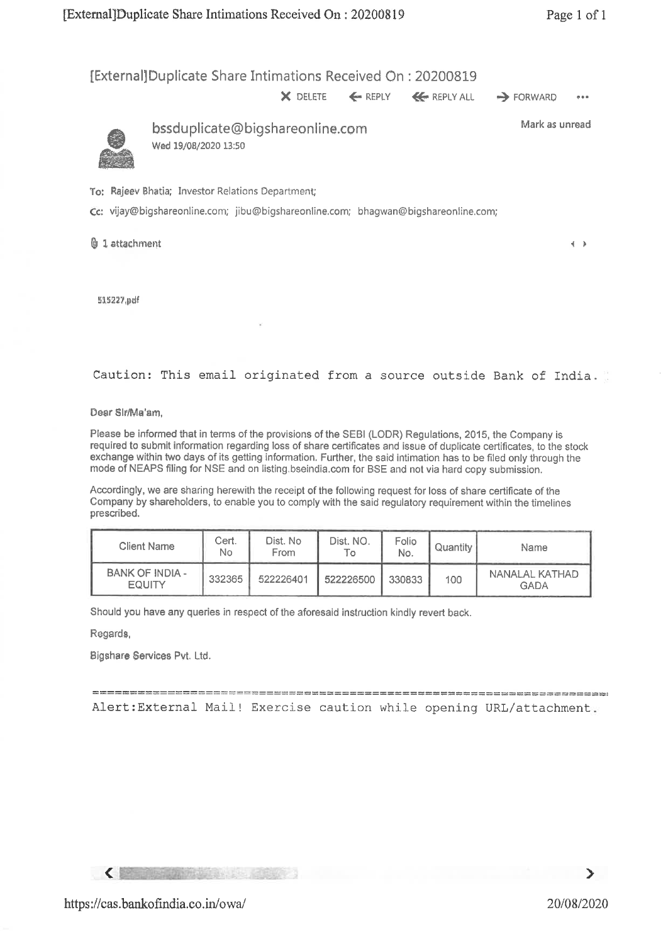[ExternallDuplicate Share Intimations Received On : 20200819

X DELETE ← REPLY ← REPLY ALL → FORWARD •••



bssduplicate@bigshareonline.com Wed 19/0B/2020 13:50

Mark as unread

To: Rajeev Bhatia; Investor Relations Department;

Cc: vijay@bigshareonline.com; jibu@bigshareonline.com; bhagwan@bigshareonline.com;

5 1 attachment **4** ►

515227,pdf

Caution: This email originated from a source outside Bank of India.

Dear Sir/Ma'am,

Please be informed that in terms of the provisions of the SEBI (LODR) Regulations, 2015, the Company is required to submit information regarding loss of share certificates and issue of duplicate certificates, to the stock exchange within two days of its getting information. Further, the said intimation has to be filed only through the mode of NEAPS filing for NSE and on listing.bseindia.com for BSE and not via hard copy submission.

Accordingly, we are sharing herewith the receipt of the following request for loss of share certificate of the Company by shareholders, to enable you to comply with the said regulatory requirement within the timelines prescribed.

| <b>Client Name</b>                      | Cert.<br>No. | Dist. No<br>From | Dist. NO. | Folio<br>No. | Quantity | Name                          |
|-----------------------------------------|--------------|------------------|-----------|--------------|----------|-------------------------------|
| <b>BANK OF INDIA -</b><br><b>EQUITY</b> | 332365       | 522226401        | 522226500 | 330833       | 100      | NANALAL KATHAD<br><b>GADA</b> |

Should you have any queries in respect of the aforesaid instruction kindly revert back.

Regards,

**Bigshare Services Pvt. Ltd.** 

Alert:External Mail! Exercise caution while opening URL/attachment.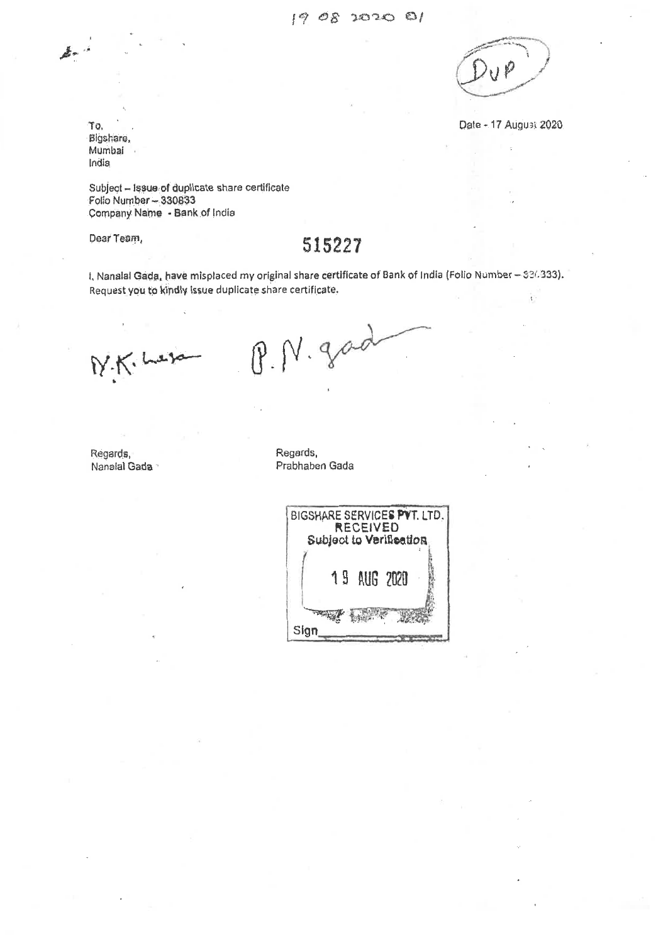Date - 17 August 2020

To, Bigshara, Mumbai India

Subject — Issue of duplicate share certificate Folio Number - 330833 Qompany Name - Bank of India

# Dear Team, 515227

I, Nanalal Gada, have misplaced my original share certificate of Bank of India (Folio Number - \$36333). Request you to kindly issue duplicate share certificate.

N.K. her

P.N.god

Regards, Regards, Regards, Regards, Regards, Regards, Regards, Regards, Regards, Regards, Regards, Regards, Regards, Regards,  $\mathbb{R}$ 

Prabhaben Gada

| BIGSHARE SERVICES PVT. LTD.<br>RECEIVED<br>Subject to Verification |             |  |  |  |
|--------------------------------------------------------------------|-------------|--|--|--|
|                                                                    | 19 AUG 2020 |  |  |  |
| Sig                                                                |             |  |  |  |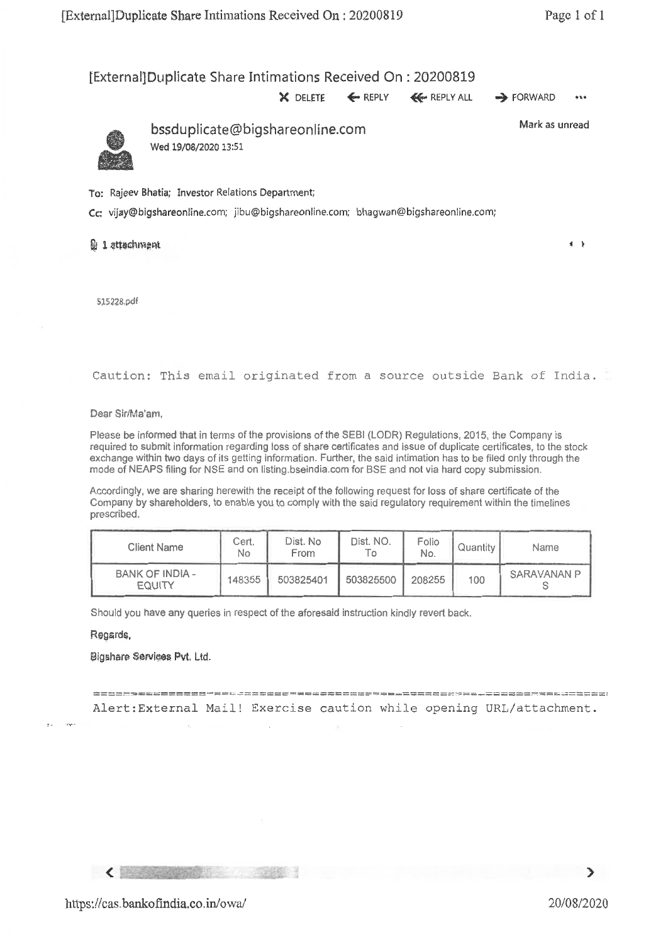### [External]Duplicate Share Intimations Received On : 20200819

**X** DELETE ← REPLY ← REPLY ALL → FORWARD ••



bssduplicate©bigshareonline.com Wed 19/08/2020 13:51

Mark as unread

 $\leftarrow$ 

To: Rajeev Bhatia; Investor Relations Department;

Cc: vijay@bigshareonline.com; jibu@bigshareonline.com; bhagwan@bigshareonline.com;

#### Qj1attoctimpnt

515228.pdf

Caution: This email originated from a source outside Bank of India.

Dear Sir/Ma'am,

Please be informed that in terms of the provisions of the SEBI (LODR) Regulations, 2015, the Company is required to submit information regarding loss of share certificates and issue of duplicate certificates, to the stock exchange within two days of its getting information. Further, the said intimation has to be filed only through the mode of NEAPS filing for NSE and on listing.bseindia.com for BSE and not via hard copy submission.

Accordingly, we are sharing herewith the receipt of the following request for loss of share certificate of the Company by shareholders, to enable you to comply with the said regulatory requirement within the timelines prescribed.

| Client Name                      | Cert.<br>No | Dist. No<br>From | Dist. NO.<br>۱ο. | Folio<br>No. | Quantity | Name        |
|----------------------------------|-------------|------------------|------------------|--------------|----------|-------------|
| BANK OF INDIA -<br><b>EQUITY</b> | 148355      | 503825401        | 503825500        | 208255       | 100      | SARAVANAN P |

Should you have any queries in respect of the aforesaid instruction kindly revert back.

#### Regards,

#### Bigshare Services Pvt. Ltd.

Alert:External Mail! Exercise caution while opening URL/attachment.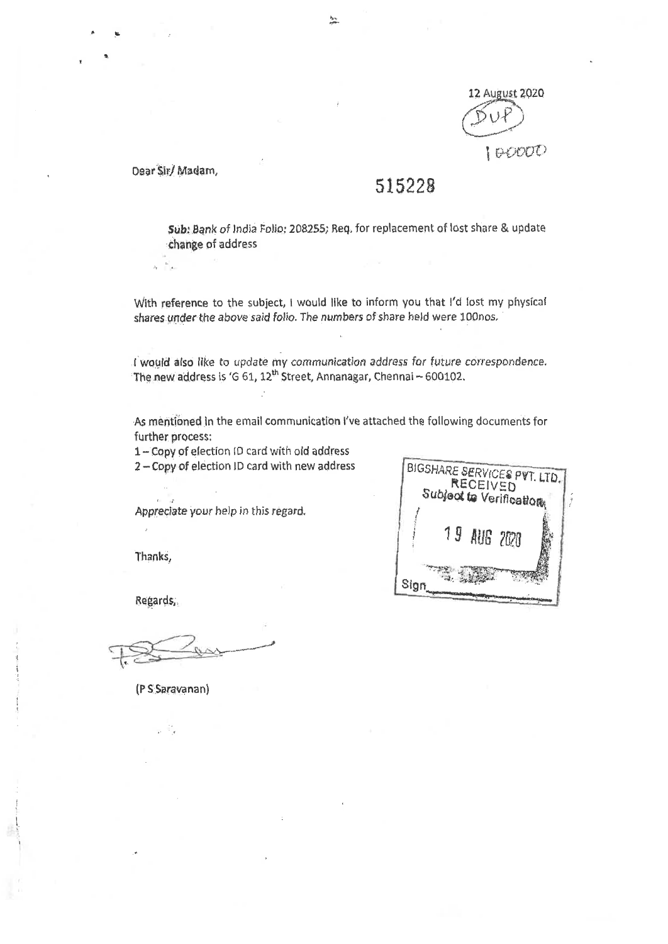

Dear Sir/ Madam,

 $\label{eq:Kerr} \begin{array}{cc} K_{\rm max} \\ \bullet \end{array}$  $\bar{\lambda}_i$ 

# 515228

Sub: Bank of India Folio: 208255; Req. for replacement of lost share & update change of address

With reference to the subject, I would like to inform you that I'd lost my physical shares under the above said folio. The numbers of share held were 100nos.

I would also like to update my communication address for future correspondence. The new address is 'G 61, 12<sup>th</sup> Street, Annanagar, Chennai - 600102.

As mentioned in the email communication I've attached the following documents for further process:

1 - Copy of election ID card with old address<br>2 - Copy of election ID card with new address

Appreciate your help in this regard.

11U3 ?Pti Sign **BIGSHARE SERVICES PVT. LTD.**<br>RECEIVED Subject to Verification

Thanks,

 $\bar{\bar{z}}$ 

Regards;,

(P S:Seravenan)

 $\pm$   $\pm$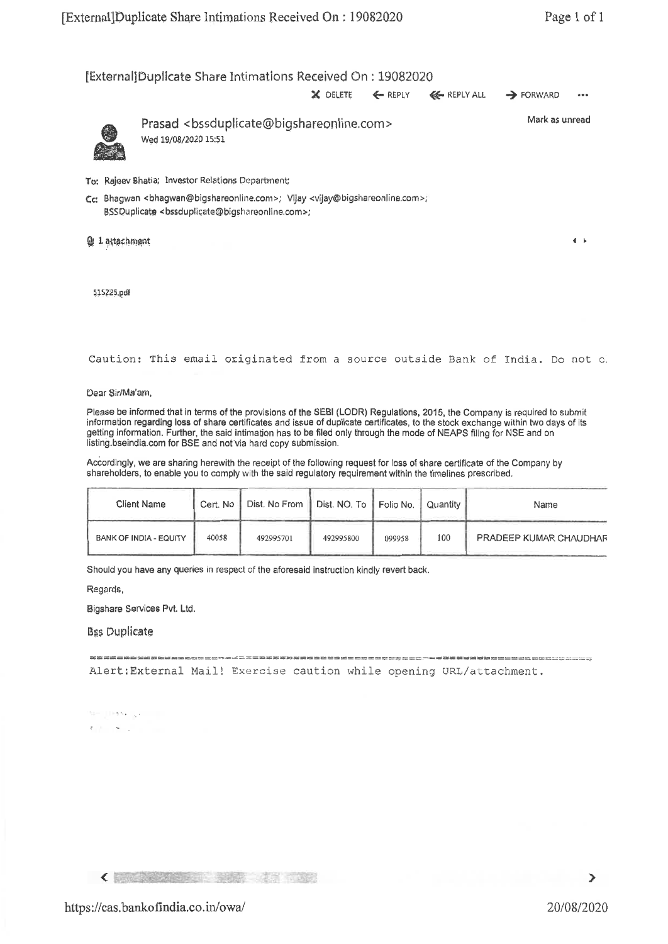[External]Duplicate Share Intimations Received On : 19082020 X DELETE  $\leftarrow$  REPLY  $\leftarrow$  REPLY ALL  $\rightarrow$  FORWARD  $\ddot{\phantom{a}}$ Mark as unread Prasad <bssdupiicate@bigshareonline.com> Wed 19/08/2020 15:51 To: Rajeev Bhatia; Investor Relations Department; Cc: Bhagwan <bhagwan@bigshareonline.com>; Vijay <vijay©bigshareonline.com>; BSSDuplicate <bssduplicate@bigshareonline.com>; ttachmant, 4 and 4 and 4 and 4 and 4 and 4 and 4 and 4 and 4 and 4 and 4 and 4 and 4 and 4 and 4 and 4 and 4 and 4

§15225,pdf

Caution: This email originated from a source outside Bank of India. Do not

Dear Sir/Me'am,

Please be informed that in terms of the provisions of the SEBI (LODR) Regulations, 2015, the Company is required to submit information regarding loss of share certificates and issue of duplicate certificates, to the stock exchange within two days of its getting information. Further, the said intimation has to be filed only through the mode of NEAPS filing for NSE and on listing.bseindia.com for BSE and not Via hard copy submission.

Accordingly, we are sharing herewith the receipt of the following request for loss of share certificate of the Company by shareholders, to enable you to comply with the said regulatory requirement within the timelines prescribed.

| <b>Client Name</b>            | Cert. No | Dist. No From   Dist. NO. To   Folio No.   Quantity |           |        |     | Name                          |
|-------------------------------|----------|-----------------------------------------------------|-----------|--------|-----|-------------------------------|
| <b>BANK OF INDIA - EQUITY</b> | 40058    | 492995701                                           | 492995800 | 099958 | 100 | <b>PRADEEP KUMAR CHAUDHAR</b> |

Should you have any queries in respect of the aforesaid instruction kindly revert back.

Regards,

Bigshare Services Pvt. Ltd.

**B**ss Duplicate

most tutte trust oddit anno 1245 phos mont-num news also trust trutt tara 

Alert:External Mail! Exercise caution while opening URL/attachment.

**SECURITY AREA**  $x_1 + ... + x_n$ 

**CONTRACTOR** CONTRACTOR